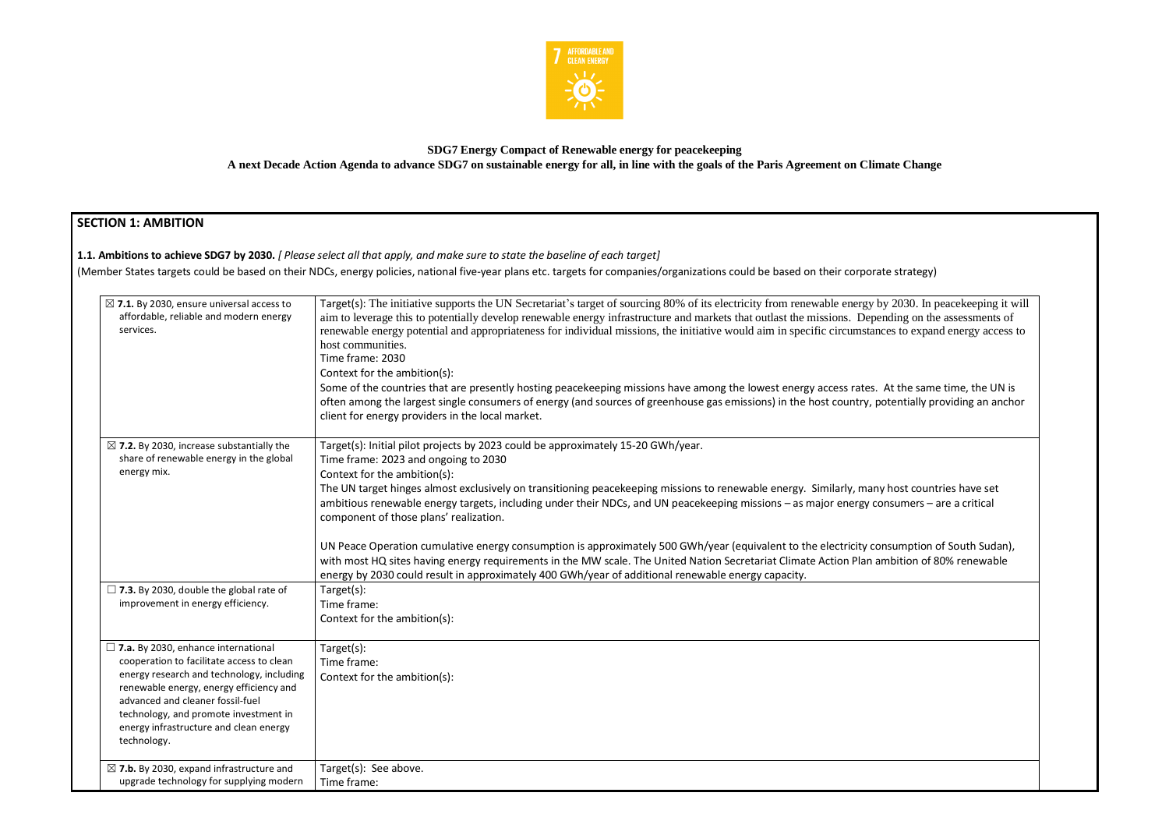

## **SDG7 Energy Compact of Renewable energy for peacekeeping A next Decade Action Agenda to advance SDG7 on sustainable energy for all, in line with the goals of the Paris Agreement on Climate Change**

# **SECTION 1: AMBITION**

## **1.1. Ambitions to achieve SDG7 by 2030.** *[ Please select all that apply, and make sure to state the baseline of each target]*

(Member States targets could be based on their NDCs, energy policies, national five-year plans etc. targets for companies/organizations could be based on their corporate strategy)

| $\boxtimes$ 7.1. By 2030, ensure universal access to<br>affordable, reliable and modern energy<br>services.                                                                                                                                                                                                              | Target(s): The initiative supports the UN Secretariat's target of sourcing 80% of its electricity from renewable energy b<br>aim to leverage this to potentially develop renewable energy infrastructure and markets that outlast the missions. Depending to the mission of the mission of the mission of the mission of the mission of the mission of the<br>renewable energy potential and appropriateness for individual missions, the initiative would aim in specific circumstand<br>host communities.<br>Time frame: 2030<br>Context for the ambition(s):<br>Some of the countries that are presently hosting peacekeeping missions have among the lowest energy access rates.<br>often among the largest single consumers of energy (and sources of greenhouse gas emissions) in the host country, po<br>client for energy providers in the local market. |
|--------------------------------------------------------------------------------------------------------------------------------------------------------------------------------------------------------------------------------------------------------------------------------------------------------------------------|------------------------------------------------------------------------------------------------------------------------------------------------------------------------------------------------------------------------------------------------------------------------------------------------------------------------------------------------------------------------------------------------------------------------------------------------------------------------------------------------------------------------------------------------------------------------------------------------------------------------------------------------------------------------------------------------------------------------------------------------------------------------------------------------------------------------------------------------------------------|
| $\boxtimes$ 7.2. By 2030, increase substantially the<br>share of renewable energy in the global<br>energy mix.                                                                                                                                                                                                           | Target(s): Initial pilot projects by 2023 could be approximately 15-20 GWh/year.<br>Time frame: 2023 and ongoing to 2030<br>Context for the ambition(s):<br>The UN target hinges almost exclusively on transitioning peacekeeping missions to renewable energy. Similarly, many<br>ambitious renewable energy targets, including under their NDCs, and UN peacekeeping missions – as major energy co<br>component of those plans' realization.<br>UN Peace Operation cumulative energy consumption is approximately 500 GWh/year (equivalent to the electricity cor<br>with most HQ sites having energy requirements in the MW scale. The United Nation Secretariat Climate Action Plan ar<br>energy by 2030 could result in approximately 400 GWh/year of additional renewable energy capacity.                                                                 |
| $\Box$ 7.3. By 2030, double the global rate of<br>improvement in energy efficiency.                                                                                                                                                                                                                                      | Target(s):<br>Time frame:<br>Context for the ambition(s):                                                                                                                                                                                                                                                                                                                                                                                                                                                                                                                                                                                                                                                                                                                                                                                                        |
| $\square$ 7.a. By 2030, enhance international<br>cooperation to facilitate access to clean<br>energy research and technology, including<br>renewable energy, energy efficiency and<br>advanced and cleaner fossil-fuel<br>technology, and promote investment in<br>energy infrastructure and clean energy<br>technology. | Target(s):<br>Time frame:<br>Context for the ambition(s):                                                                                                                                                                                                                                                                                                                                                                                                                                                                                                                                                                                                                                                                                                                                                                                                        |
| $\boxtimes$ 7.b. By 2030, expand infrastructure and<br>upgrade technology for supplying modern                                                                                                                                                                                                                           | Target(s): See above.<br>Time frame:                                                                                                                                                                                                                                                                                                                                                                                                                                                                                                                                                                                                                                                                                                                                                                                                                             |

by 2030. In peacekeeping it will inding on the assessments of ces to expand energy access to

At the same time, the UN is otentially providing an anchor

the Unitries have set nsumers – are a critical

nsumption of South Sudan), mbition of 80% renewable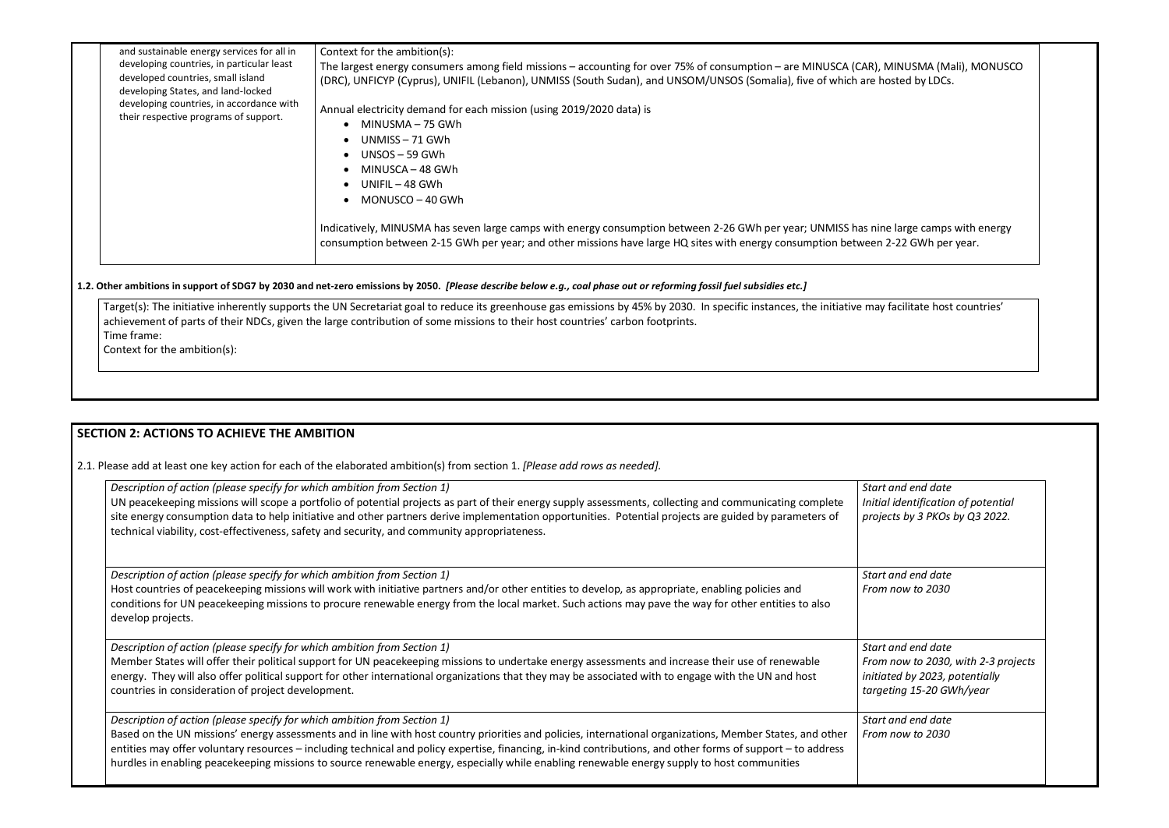| and sustainable energy services for all in<br>developing countries, in particular least<br>developed countries, small island<br>developing States, and land-locked<br>developing countries, in accordance with<br>their respective programs of support. | Context for the ambition(s):<br>The largest energy consumers among field missions – accounting for over 75% of consumption – are MINUSCA (CAR), MINUSMA (Ma<br>(DRC), UNFICYP (Cyprus), UNIFIL (Lebanon), UNMISS (South Sudan), and UNSOM/UNSOS (Somalia), five of which are hosted by LDCs.<br>Annual electricity demand for each mission (using 2019/2020 data) is<br>MINUSMA - 75 GWh<br>UNMISS – 71 GWh<br>UNSOS – 59 GWh<br>MINUSCA – 48 GWh<br>UNIFIL – 48 GWh<br>MONUSCO – 40 GWh<br>Indicatively, MINUSMA has seven large camps with energy consumption between 2-26 GWh per year; UNMISS has nine large camps<br>consumption between 2-15 GWh per year; and other missions have large HQ sites with energy consumption between 2-22 GWh per |
|---------------------------------------------------------------------------------------------------------------------------------------------------------------------------------------------------------------------------------------------------------|------------------------------------------------------------------------------------------------------------------------------------------------------------------------------------------------------------------------------------------------------------------------------------------------------------------------------------------------------------------------------------------------------------------------------------------------------------------------------------------------------------------------------------------------------------------------------------------------------------------------------------------------------------------------------------------------------------------------------------------------------|

### **1.2. Other ambitions in support of SDG7 by 2030 and net-zero emissions by 2050.** *[Please describe below e.g., coal phase out or reforming fossil fuel subsidies etc.]*

Target(s): The initiative inherently supports the UN Secretariat goal to reduce its greenhouse gas emissions by 45% by 2030. In specific instances, the initiative may facilitate host countries' achievement of parts of their NDCs, given the large contribution of some missions to their host countries' carbon footprints. Time frame:

Context for the ambition(s):

## **SECTION 2: ACTIONS TO ACHIEVE THE AMBITION**

2.1. Please add at least one key action for each of the elaborated ambition(s) from section 1. *[Please add rows as needed].*

*Start and end date Initial identification of potential projects by 3 PKOs by Q3 2022.*

*Start and end date From now to 2030*

| Description of action (please specify for which ambition from Section 1)                                                                                                                                                                                                                                                                                                                                                                                                 | Star  |
|--------------------------------------------------------------------------------------------------------------------------------------------------------------------------------------------------------------------------------------------------------------------------------------------------------------------------------------------------------------------------------------------------------------------------------------------------------------------------|-------|
| UN peacekeeping missions will scope a portfolio of potential projects as part of their energy supply assessments, collecting and communicating complete                                                                                                                                                                                                                                                                                                                  | Initi |
| site energy consumption data to help initiative and other partners derive implementation opportunities. Potential projects are guided by parameters of<br>technical viability, cost-effectiveness, safety and security, and community appropriateness.                                                                                                                                                                                                                   | proj  |
| Description of action (please specify for which ambition from Section 1)                                                                                                                                                                                                                                                                                                                                                                                                 | Star  |
| Host countries of peacekeeping missions will work with initiative partners and/or other entities to develop, as appropriate, enabling policies and<br>conditions for UN peacekeeping missions to procure renewable energy from the local market. Such actions may pave the way for other entities to also<br>develop projects.                                                                                                                                           | Fror  |
| Description of action (please specify for which ambition from Section 1)                                                                                                                                                                                                                                                                                                                                                                                                 | Star  |
| Member States will offer their political support for UN peacekeeping missions to undertake energy assessments and increase their use of renewable                                                                                                                                                                                                                                                                                                                        | Fror  |
| energy. They will also offer political support for other international organizations that they may be associated with to engage with the UN and host                                                                                                                                                                                                                                                                                                                     | initi |
| countries in consideration of project development.                                                                                                                                                                                                                                                                                                                                                                                                                       | targ  |
| Description of action (please specify for which ambition from Section 1)                                                                                                                                                                                                                                                                                                                                                                                                 | Star  |
| Based on the UN missions' energy assessments and in line with host country priorities and policies, international organizations, Member States, and other<br>entities may offer voluntary resources – including technical and policy expertise, financing, in-kind contributions, and other forms of support – to address<br>hurdles in enabling peacekeeping missions to source renewable energy, especially while enabling renewable energy supply to host communities | Fror  |
|                                                                                                                                                                                                                                                                                                                                                                                                                                                                          |       |

MINUSMA (Mali), MONUSCO

ne large camps with energy 2-22 GWh per year.

*Start and end date From now to 2030, with 2-3 projects initiated by 2023, potentially targeting 15-20 GWh/year* 

*Start and end date From now to 2030*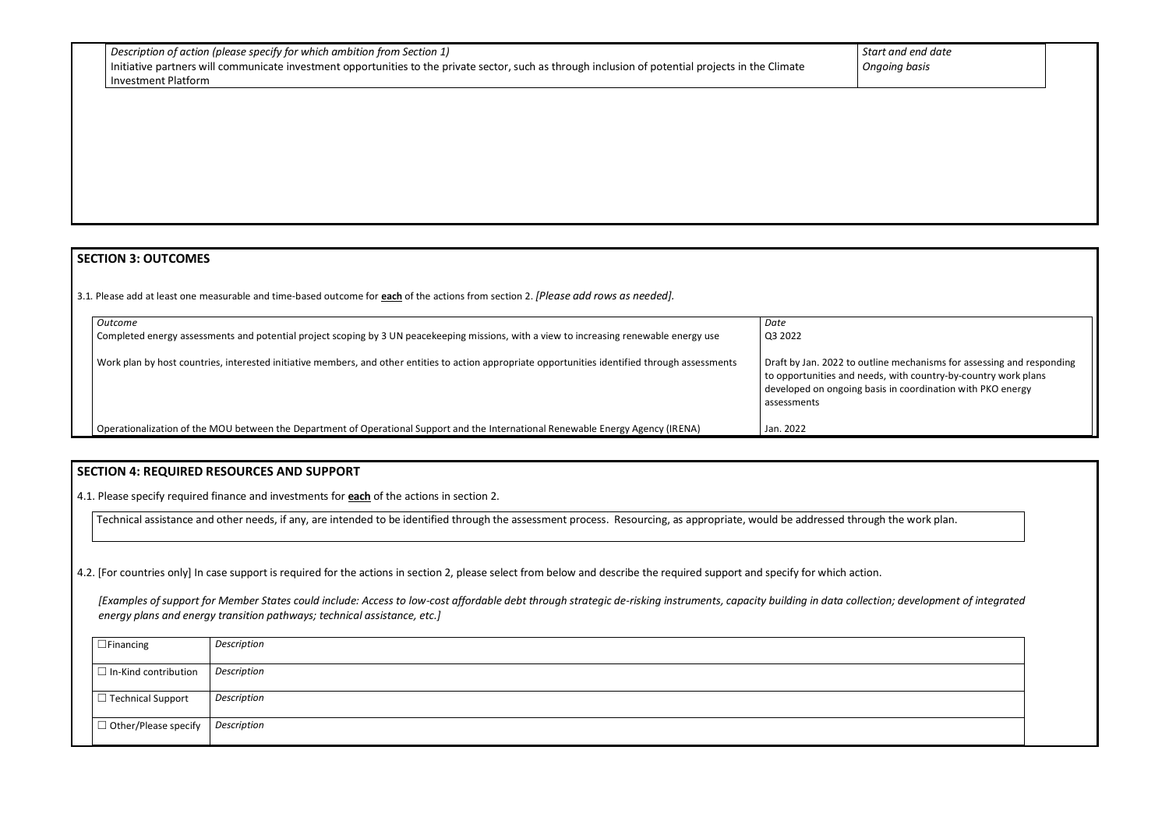| $\vert$ Description of action (please specify for which ambition from Section 1)                                                                    |
|-----------------------------------------------------------------------------------------------------------------------------------------------------|
| Initiative partners will communicate investment opportunities to the private sector, such as through inclusion of potential projects in the Climate |
| Investment Platform                                                                                                                                 |

## *Start and end date Ongoing basis*

## **SECTION 3: OUTCOMES**

3.1*.* Please add at least one measurable and time-based outcome for **each** of the actions from section 2. *[Please add rows as needed].*

| Outcome                                                                                                                                           | Date                                                                                                |
|---------------------------------------------------------------------------------------------------------------------------------------------------|-----------------------------------------------------------------------------------------------------|
| Completed energy assessments and potential project scoping by 3 UN peacekeeping missions, with a view to increasing renewable energy use          | Q3 2022                                                                                             |
| Work plan by host countries, interested initiative members, and other entities to action appropriate opportunities identified through assessments | Draft by Jan. 2022 to outli<br>to opportunities and need<br>developed on ongoing bas<br>assessments |
| Operationalization of the MOU between the Department of Operational Support and the International Renewable Energy Agency (IRENA)                 | Jan. 2022                                                                                           |

| Draft by Jan. 2022 to outline mechanisms for assessing and responding |
|-----------------------------------------------------------------------|
| to opportunities and needs, with country-by-country work plans        |
| developed on ongoing basis in coordination with PKO energy            |
|                                                                       |



## **SECTION 4: REQUIRED RESOURCES AND SUPPORT**

4.1. Please specify required finance and investments for **each** of the actions in section 2.

Technical assistance and other needs, if any, are intended to be identified through the assessment process. Resourcing, as appropriate, would be addressed through the work plan.

4.2. [For countries only] In case support is required for the actions in section 2, please select from below and describe the required support and specify for which action.

*[Examples of support for Member States could include: Access to low-cost affordable debt through strategic de-risking instruments, capacity building in data collection; development of integrated energy plans and energy transition pathways; technical assistance, etc.]*

| $\Box$ Financing            | Description |
|-----------------------------|-------------|
| $\Box$ In-Kind contribution | Description |
|                             |             |
| $\Box$ Technical Support    | Description |
| $\Box$ Other/Please specify | Description |
|                             |             |

|  |            | t and end date |
|--|------------|----------------|
|  | oing basis |                |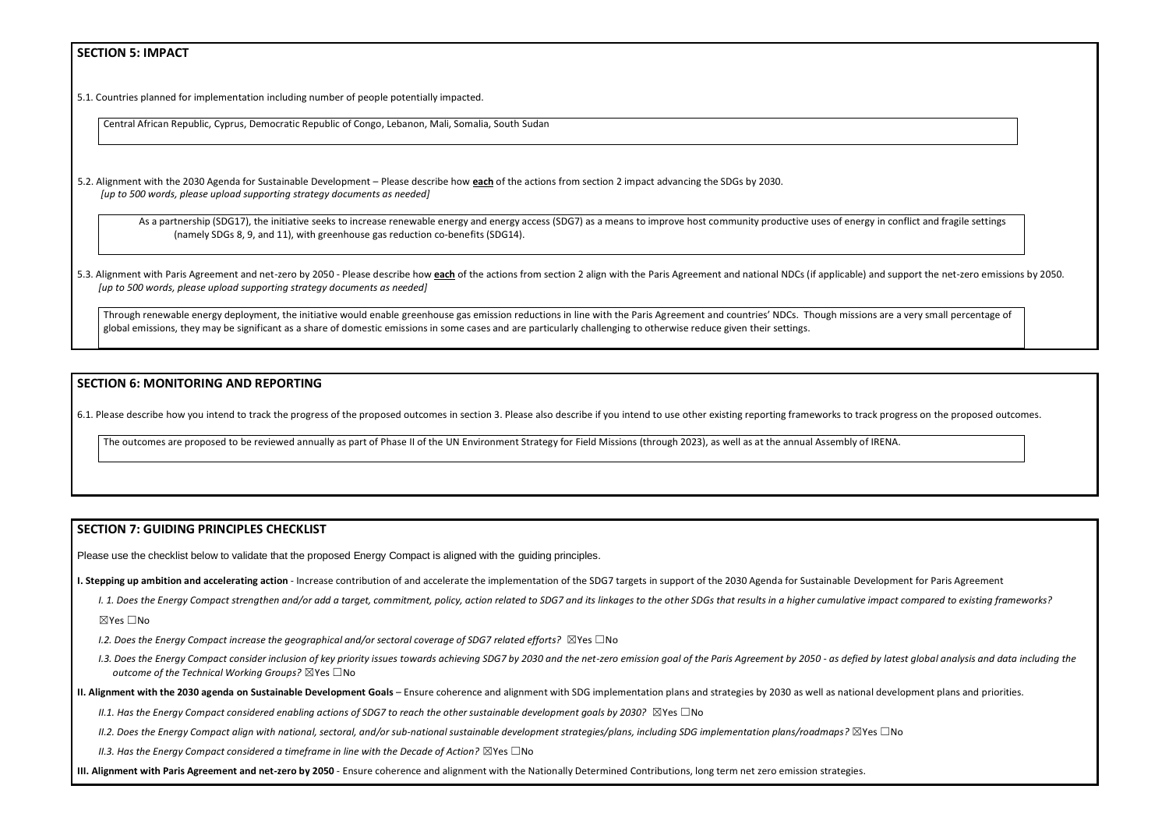## **SECTION 5: IMPACT**

5.1. Countries planned for implementation including number of people potentially impacted.

Central African Republic, Cyprus, Democratic Republic of Congo, Lebanon, Mali, Somalia, South Sudan

5.2. Alignment with the 2030 Agenda for Sustainable Development – Please describe how **each** of the actions from section 2 impact advancing the SDGs by 2030. *[up to 500 words, please upload supporting strategy documents as needed]* 

As a partnership (SDG17), the initiative seeks to increase renewable energy and energy access (SDG7) as a means to improve host community productive uses of energy in (namely SDGs 8, 9, and 11), with greenhouse gas reduction co-benefits (SDG14).

5.3. Alignment with Paris Agreement and net-zero by 2050 - Please describe how each of the actions from section 2 align with the Paris Agreement and national NDCs (if applicable) and *[up to 500 words, please upload supporting strategy documents as needed]* 

Through renewable energy deployment, the initiative would enable greenhouse gas emission reductions in line with the Paris Agreement and countries' NDCs. Though missions a global emissions, they may be significant as a share of domestic emissions in some cases and are particularly challenging to otherwise reduce given their settings.

I. 1. Does the Energy Compact strengthen and/or add a target, commitment, policy, action related to SDG7 and its linkages to the other SDGs that results in a higher cumulative impact compared to existing frameworks? ☒Yes ☐No

### **SECTION 6: MONITORING AND REPORTING**

- *I.2. Does the Energy Compact increase the geographical and/or sectoral coverage of SDG7 related efforts?* ⊠Yes □No
- I.3. Does the Energy Compact consider inclusion of key priority issues towards achieving SDG7 by 2030 and the net-zero emission goal of the Paris Agreement by 2050 as defied by latest global analysis and data including t *outcome of the Technical Working Groups?* ☒Yes ☐No
- **II. Alignment with the 2030 agenda on Sustainable Development Goals** Ensure coherence and alignment with SDG implementation plans and strategies by 2030 as well as national development plans and priorities.

*II.1. Has the Energy Compact considered enabling actions of SDG7 to reach the other sustainable development goals by 2030?* ⊠Yes □No

6.1. Please describe how you intend to track the progress of the proposed outcomes in section 3. Please also describe if you intend to use other existing reporting frameworks to track progress on the proposed outcomes.

The outcomes are proposed to be reviewed annually as part of Phase II of the UN Environment Strategy for Field Missions (through 2023), as well as at the annual Assembly of IRENA.

### **SECTION 7: GUIDING PRINCIPLES CHECKLIST**

Please use the checklist below to validate that the proposed Energy Compact is aligned with the guiding principles.

**I. Stepping up ambition and accelerating action** - Increase contribution of and accelerate the implementation of the SDG7 targets in support of the 2030 Agenda for Sustainable Development for Paris Agreement

*II.2. Does the Energy Compact align with national, sectoral, and/or sub-national sustainable development strategies/plans, including SDG implementation plans/roadmaps?* ☒Yes ☐No

*II.3. Has the Energy Compact considered a timeframe in line with the Decade of Action?* ⊠Yes □No

**III. Alignment with Paris Agreement and net-zero by 2050** - Ensure coherence and alignment with the Nationally Determined Contributions, long term net zero emission strategies.

| conflict and fragile settings             |  |
|-------------------------------------------|--|
| I support the net-zero emissions by 2050. |  |
| re a very small percentage of             |  |
|                                           |  |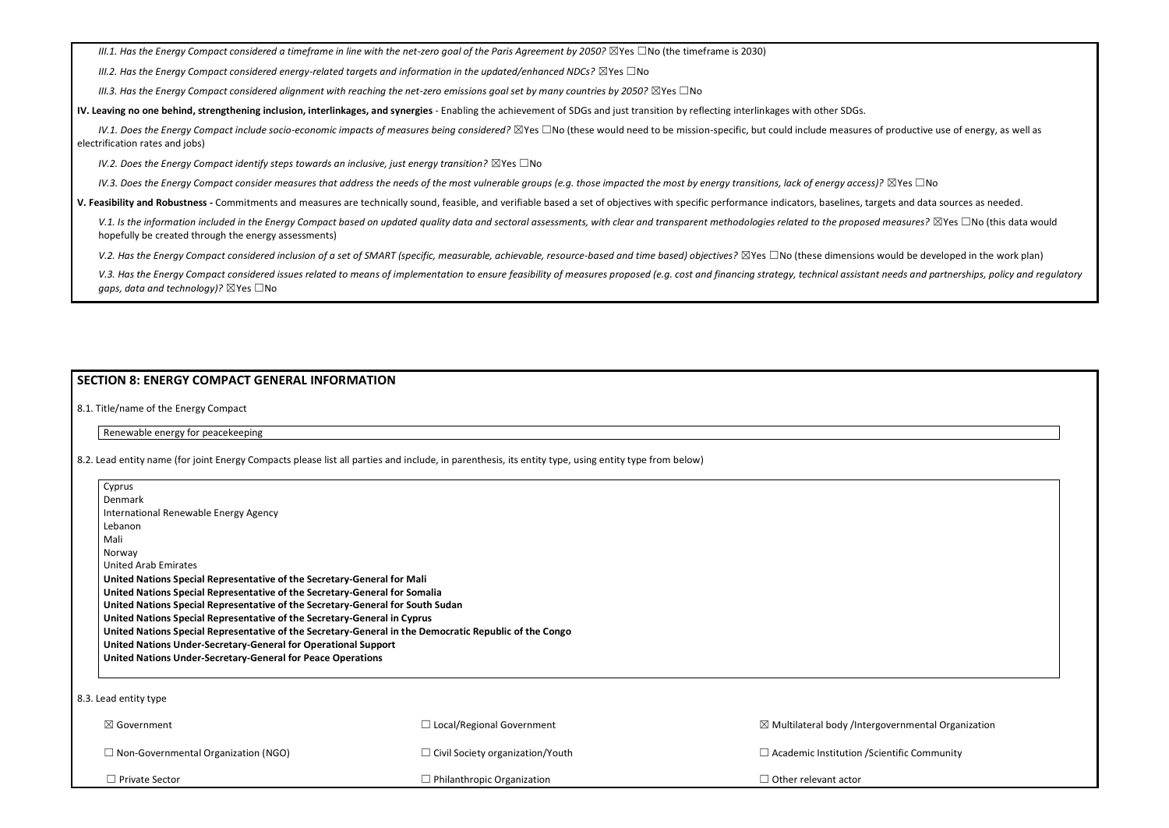*III.1. Has the Energy Compact considered a timeframe in line with the net-zero goal of the Paris Agreement by 2050?* ⊠Yes □No (the timeframe is 2030)

*III.2. Has the Energy Compact considered energy-related targets and information in the updated/enhanced NDCs?* ⊠Yes □No

*III.3. Has the Energy Compact considered alignment with reaching the net-zero emissions goal set by many countries by 2050?* ⊠Yes □No

*IV.1. Does the Energy Compact include socio-economic impacts of measures being considered?* ⊠Yes □No (these would need to be mission-specific, but could include measures of productive use of energy, as well as electrification rates and jobs)

*IV.2. Does the Energy Compact identify steps towards an inclusive, just energy transition?* ⊠Yes □No

*IV.3. Does the Energy Compact consider measures that address the needs of the most vulnerable groups (e.g. those impacted the most by energy transitions, lack of energy access)?* ⊠Yes □No

**IV. Leaving no one behind, strengthening inclusion, interlinkages, and synergies** - Enabling the achievement of SDGs and just transition by reflecting interlinkages with other SDGs.

V.1. Is the information included in the Energy Compact based on updated quality data and sectoral assessments, with clear and transparent methodologies related to the proposed measures?  $\boxtimes$ Yes  $\Box$ No (this data would hopefully be created through the energy assessments)

*V.2. Has the Energy Compact considered inclusion of a set of SMART (specific, measurable, achievable, resource-based and time based) objectives? ⊠Yes □No (these dimensions would be developed in the work plan)* 

V.3. Has the Energy Compact considered issues related to means of implementation to ensure feasibility of measures proposed (e.g. cost and financing strategy, technical assistant needs and partnerships, policy and regulato *gaps, data and technology*)? ⊠Yes □No

| <b>SECTION 8: ENERGY COMPACT GENERAL INFORMATION</b>                                                   |                                                                                                                                                      |                                                               |  |
|--------------------------------------------------------------------------------------------------------|------------------------------------------------------------------------------------------------------------------------------------------------------|---------------------------------------------------------------|--|
| 8.1. Title/name of the Energy Compact                                                                  |                                                                                                                                                      |                                                               |  |
| Renewable energy for peacekeeping                                                                      |                                                                                                                                                      |                                                               |  |
|                                                                                                        | 8.2. Lead entity name (for joint Energy Compacts please list all parties and include, in parenthesis, its entity type, using entity type from below) |                                                               |  |
| Cyprus<br>Denmark                                                                                      |                                                                                                                                                      |                                                               |  |
| International Renewable Energy Agency                                                                  |                                                                                                                                                      |                                                               |  |
| Lebanon                                                                                                |                                                                                                                                                      |                                                               |  |
| Mali                                                                                                   |                                                                                                                                                      |                                                               |  |
| Norway                                                                                                 |                                                                                                                                                      |                                                               |  |
| <b>United Arab Emirates</b>                                                                            |                                                                                                                                                      |                                                               |  |
| United Nations Special Representative of the Secretary-General for Mali                                |                                                                                                                                                      |                                                               |  |
| United Nations Special Representative of the Secretary-General for Somalia                             |                                                                                                                                                      |                                                               |  |
| United Nations Special Representative of the Secretary-General for South Sudan                         |                                                                                                                                                      |                                                               |  |
| United Nations Special Representative of the Secretary-General in Cyprus                               |                                                                                                                                                      |                                                               |  |
| United Nations Special Representative of the Secretary-General in the Democratic Republic of the Congo |                                                                                                                                                      |                                                               |  |
| United Nations Under-Secretary-General for Operational Support                                         |                                                                                                                                                      |                                                               |  |
| United Nations Under-Secretary-General for Peace Operations                                            |                                                                                                                                                      |                                                               |  |
|                                                                                                        |                                                                                                                                                      |                                                               |  |
| 8.3. Lead entity type                                                                                  |                                                                                                                                                      |                                                               |  |
| ⊠ Government                                                                                           | $\Box$ Local/Regional Government                                                                                                                     | $\boxtimes$ Multilateral body /Intergovernmental Organization |  |
| $\Box$ Non-Governmental Organization (NGO)                                                             | □ Civil Society organization/Youth                                                                                                                   | $\Box$ Academic Institution / Scientific Community            |  |
| $\Box$ Private Sector                                                                                  | $\Box$ Philanthropic Organization                                                                                                                    | $\Box$ Other relevant actor                                   |  |

**V. Feasibility and Robustness -** Commitments and measures are technically sound, feasible, and verifiable based a set of objectives with specific performance indicators, baselines, targets and data sources as needed.